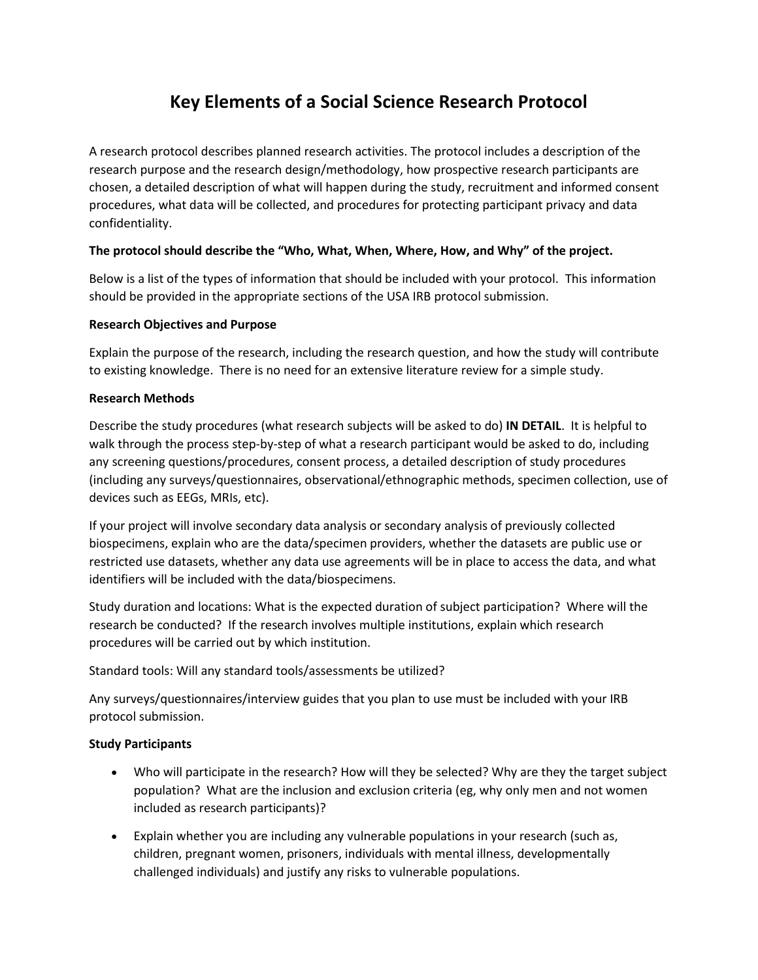# **Key Elements of a Social Science Research Protocol**

A research protocol describes planned research activities. The protocol includes a description of the research purpose and the research design/methodology, how prospective research participants are chosen, a detailed description of what will happen during the study, recruitment and informed consent procedures, what data will be collected, and procedures for protecting participant privacy and data confidentiality.

## **The protocol should describe the "Who, What, When, Where, How, and Why" of the project.**

Below is a list of the types of information that should be included with your protocol. This information should be provided in the appropriate sections of the USA IRB protocol submission.

## **Research Objectives and Purpose**

Explain the purpose of the research, including the research question, and how the study will contribute to existing knowledge. There is no need for an extensive literature review for a simple study.

## **Research Methods**

Describe the study procedures (what research subjects will be asked to do) **IN DETAIL**. It is helpful to walk through the process step-by-step of what a research participant would be asked to do, including any screening questions/procedures, consent process, a detailed description of study procedures (including any surveys/questionnaires, observational/ethnographic methods, specimen collection, use of devices such as EEGs, MRIs, etc).

If your project will involve secondary data analysis or secondary analysis of previously collected biospecimens, explain who are the data/specimen providers, whether the datasets are public use or restricted use datasets, whether any data use agreements will be in place to access the data, and what identifiers will be included with the data/biospecimens.

Study duration and locations: What is the expected duration of subject participation? Where will the research be conducted? If the research involves multiple institutions, explain which research procedures will be carried out by which institution.

### Standard tools: Will any standard tools/assessments be utilized?

Any surveys/questionnaires/interview guides that you plan to use must be included with your IRB protocol submission.

### **Study Participants**

- Who will participate in the research? How will they be selected? Why are they the target subject population? What are the inclusion and exclusion criteria (eg, why only men and not women included as research participants)?
- Explain whether you are including any vulnerable populations in your research (such as, children, pregnant women, prisoners, individuals with mental illness, developmentally challenged individuals) and justify any risks to vulnerable populations.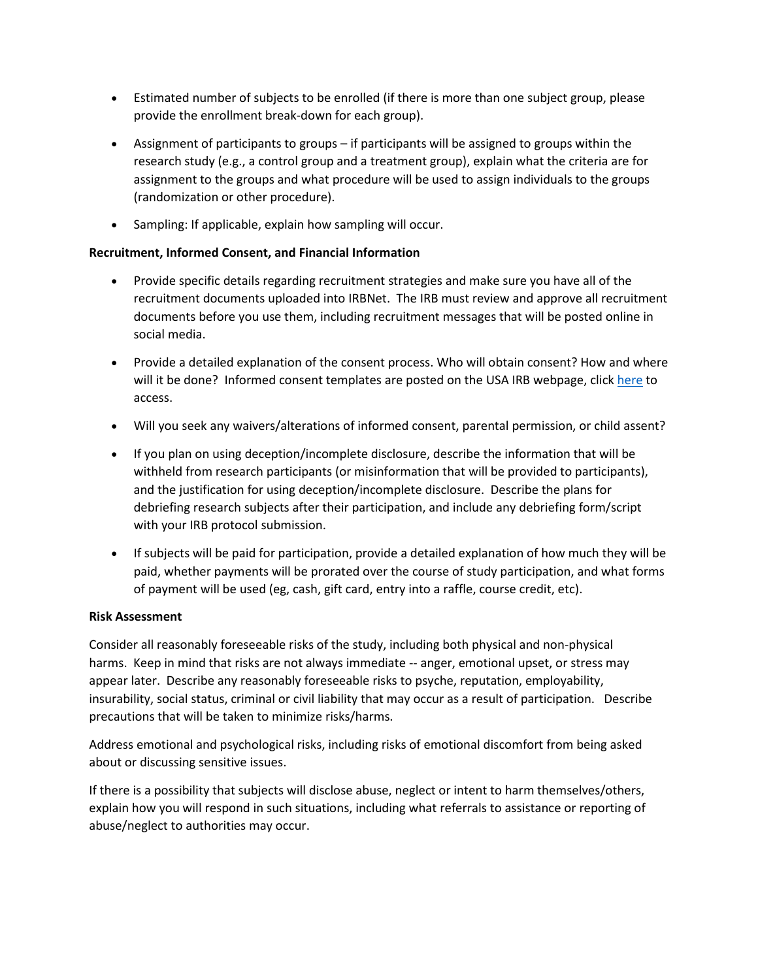- Estimated number of subjects to be enrolled (if there is more than one subject group, please provide the enrollment break-down for each group).
- Assignment of participants to groups if participants will be assigned to groups within the research study (e.g., a control group and a treatment group), explain what the criteria are for assignment to the groups and what procedure will be used to assign individuals to the groups (randomization or other procedure).
- Sampling: If applicable, explain how sampling will occur.

## **Recruitment, Informed Consent, and Financial Information**

- Provide specific details regarding recruitment strategies and make sure you have all of the recruitment documents uploaded into IRBNet. The IRB must review and approve all recruitment documents before you use them, including recruitment messages that will be posted online in social media.
- Provide a detailed explanation of the consent process. Who will obtain consent? How and where will it be done? Informed consent templates are posted on the USA IRB webpage, clic[k here](https://www.southalabama.edu/departments/research/compliance/humansubjects/informed-consent.html) to access.
- Will you seek any waivers/alterations of informed consent, parental permission, or child assent?
- If you plan on using deception/incomplete disclosure, describe the information that will be withheld from research participants (or misinformation that will be provided to participants), and the justification for using deception/incomplete disclosure. Describe the plans for debriefing research subjects after their participation, and include any debriefing form/script with your IRB protocol submission.
- If subjects will be paid for participation, provide a detailed explanation of how much they will be paid, whether payments will be prorated over the course of study participation, and what forms of payment will be used (eg, cash, gift card, entry into a raffle, course credit, etc).

### **Risk Assessment**

Consider all reasonably foreseeable risks of the study, including both physical and non-physical harms. Keep in mind that risks are not always immediate -- anger, emotional upset, or stress may appear later. Describe any reasonably foreseeable risks to psyche, reputation, employability, insurability, social status, criminal or civil liability that may occur as a result of participation. Describe precautions that will be taken to minimize risks/harms.

Address emotional and psychological risks, including risks of emotional discomfort from being asked about or discussing sensitive issues.

If there is a possibility that subjects will disclose abuse, neglect or intent to harm themselves/others, explain how you will respond in such situations, including what referrals to assistance or reporting of abuse/neglect to authorities may occur.